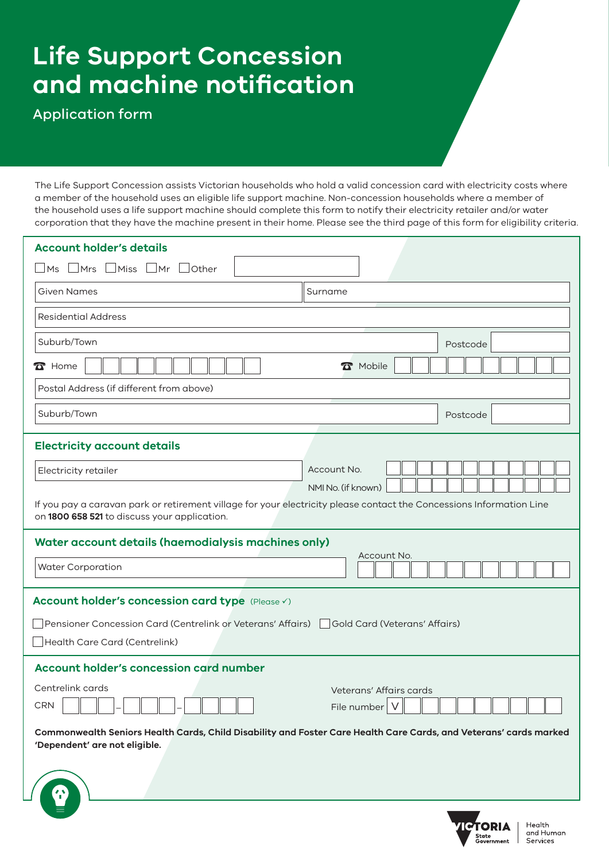# **Life Support Concession and machine notification**

Application form

The Life Support Concession assists Victorian households who hold a valid concession card with electricity costs where a member of the household uses an eligible life support machine. Non-concession households where a member of the household uses a life support machine should complete this form to notify their electricity retailer and/or water corporation that they have the machine present in their home. Please see the third page of this form for eligibility criteria.

| <b>Account holder's details</b>                                                                                                                                                            |                         |  |
|--------------------------------------------------------------------------------------------------------------------------------------------------------------------------------------------|-------------------------|--|
| $\Box$ Mrs $\Box$ Miss $\Box$ Mr $\Box$<br><b>Other</b><br><b>Ms</b>                                                                                                                       |                         |  |
| Given Names                                                                                                                                                                                | Surname                 |  |
| <b>Residential Address</b>                                                                                                                                                                 |                         |  |
| Suburb/Town                                                                                                                                                                                | Postcode                |  |
| $\mathbf{\Omega}$ Home                                                                                                                                                                     | <b>R</b> Mobile         |  |
| Postal Address (if different from above)                                                                                                                                                   |                         |  |
| Suburb/Town                                                                                                                                                                                | Postcode                |  |
| <b>Electricity account details</b>                                                                                                                                                         |                         |  |
| Electricity retailer                                                                                                                                                                       | Account No.             |  |
| NMI No. (if known)<br>If you pay a caravan park or retirement village for your electricity please contact the Concessions Information Line<br>on 1800 658 521 to discuss your application. |                         |  |
| Water account details (haemodialysis machines only)                                                                                                                                        |                         |  |
| <b>Water Corporation</b>                                                                                                                                                                   | Account No.             |  |
| Account holder's concession card type (Please V)                                                                                                                                           |                         |  |
| Pensioner Concession Card (Centrelink or Veterans' Affairs)<br>Gold Card (Veterans' Affairs)                                                                                               |                         |  |
| Health Care Card (Centrelink)                                                                                                                                                              |                         |  |
| <b>Account holder's concession card number</b>                                                                                                                                             |                         |  |
| Centrelink cards                                                                                                                                                                           | Veterans' Affairs cards |  |
| <b>CRN</b>                                                                                                                                                                                 | File number             |  |
| Commonwealth Seniors Health Cards, Child Disability and Foster Care Health Care Cards, and Veterans' cards marked<br>'Dependent' are not eligible.                                         |                         |  |
|                                                                                                                                                                                            |                         |  |

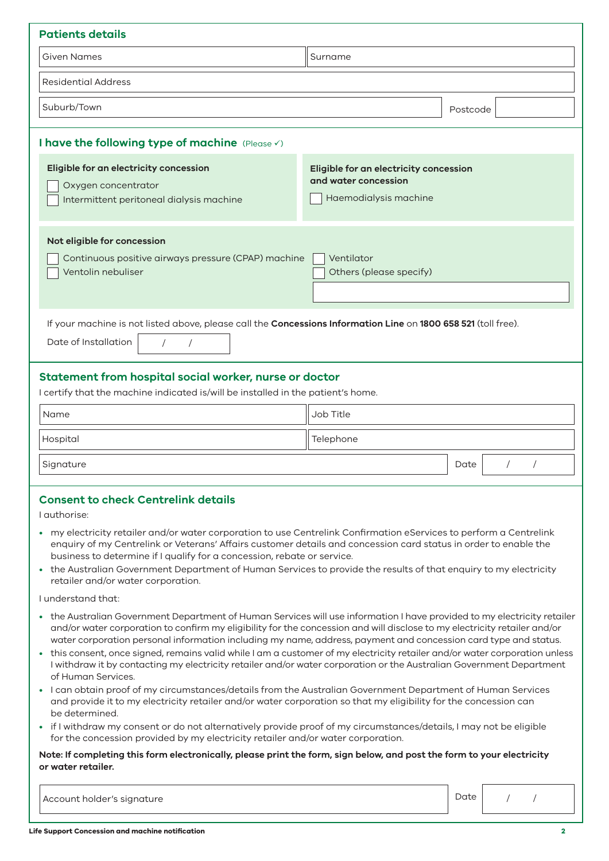| <b>Patients details</b>                                                                                                                                            |                                                                                         |                    |  |
|--------------------------------------------------------------------------------------------------------------------------------------------------------------------|-----------------------------------------------------------------------------------------|--------------------|--|
| <b>Given Names</b>                                                                                                                                                 | Surname                                                                                 |                    |  |
| <b>Residential Address</b>                                                                                                                                         |                                                                                         |                    |  |
| Suburb/Town                                                                                                                                                        |                                                                                         | Postcode           |  |
| I have the following type of machine (Please V)                                                                                                                    |                                                                                         |                    |  |
| Eligible for an electricity concession<br>Oxygen concentrator<br>Intermittent peritoneal dialysis machine                                                          | Eligible for an electricity concession<br>and water concession<br>Haemodialysis machine |                    |  |
| Not eligible for concession<br>Continuous positive airways pressure (CPAP) machine<br>Ventolin nebuliser                                                           | Ventilator<br>Others (please specify)                                                   |                    |  |
| If your machine is not listed above, please call the Concessions Information Line on 1800 658 521 (toll free).<br>Date of Installation<br>$\sqrt{2}$<br>$\sqrt{2}$ |                                                                                         |                    |  |
| Statement from hospital social worker, nurse or doctor<br>I certify that the machine indicated is/will be installed in the patient's home.                         |                                                                                         |                    |  |
| Name                                                                                                                                                               | Job Title                                                                               |                    |  |
| Hospital                                                                                                                                                           | Telephone                                                                               |                    |  |
| Signature                                                                                                                                                          |                                                                                         | Date<br>$\sqrt{2}$ |  |
| <b>Consent to check Centrelink details</b>                                                                                                                         |                                                                                         |                    |  |

#### I authorise:

- my electricity retailer and/or water corporation to use Centrelink Confirmation eServices to perform a Centrelink enquiry of my Centrelink or Veterans' Affairs customer details and concession card status in order to enable the business to determine if I qualify for a concession, rebate or service.
- the Australian Government Department of Human Services to provide the results of that enquiry to my electricity retailer and/or water corporation.

I understand that:

- the Australian Government Department of Human Services will use information I have provided to my electricity retailer and/or water corporation to confirm my eligibility for the concession and will disclose to my electricity retailer and/or water corporation personal information including my name, address, payment and concession card type and status.
- this consent, once signed, remains valid while I am a customer of my electricity retailer and/or water corporation unless I withdraw it by contacting my electricity retailer and/or water corporation or the Australian Government Department of Human Services.
- I can obtain proof of my circumstances/details from the Australian Government Department of Human Services and provide it to my electricity retailer and/or water corporation so that my eligibility for the concession can be determined.
- if I withdraw my consent or do not alternatively provide proof of my circumstances/details, I may not be eligible for the concession provided by my electricity retailer and/or water corporation.

#### **Note: If completing this form electronically, please print the form, sign below, and post the form to your electricity or water retailer.**

Account holder's signature and the Date of Date of Date of Date of Date of Date of Date of Date of Date of Date

/ /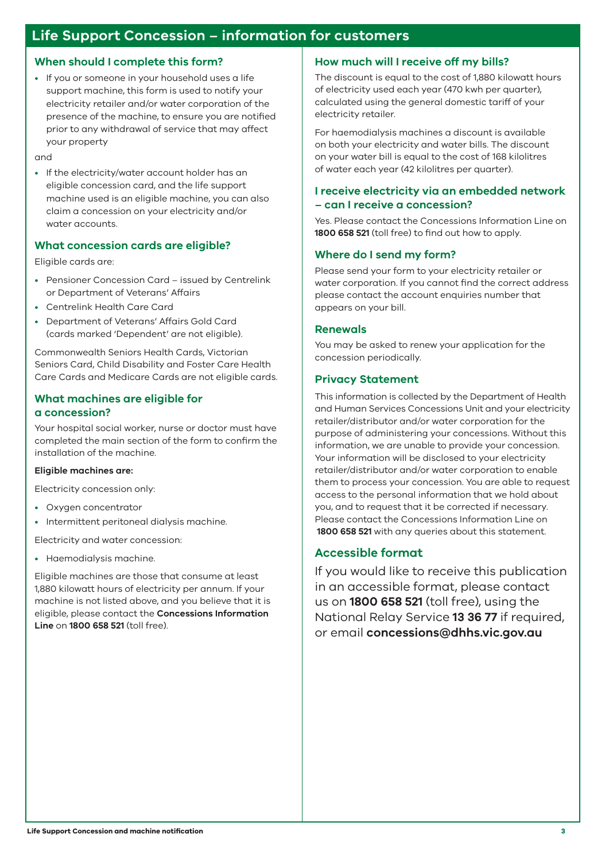## **Life Support Concession – information for customers**

#### **When should I complete this form?**

• If you or someone in your household uses a life support machine, this form is used to notify your electricity retailer and/or water corporation of the presence of the machine, to ensure you are notified prior to any withdrawal of service that may affect your property

and

• If the electricity/water account holder has an eligible concession card, and the life support machine used is an eligible machine, you can also claim a concession on your electricity and/or water accounts.

## **What concession cards are eligible?**

Eligible cards are:

- Pensioner Concession Card issued by Centrelink or Department of Veterans' Affairs
- Centrelink Health Care Card
- Department of Veterans' Affairs Gold Card (cards marked 'Dependent' are not eligible).

Commonwealth Seniors Health Cards, Victorian Seniors Card, Child Disability and Foster Care Health Care Cards and Medicare Cards are not eligible cards.

## **What machines are eligible for a concession?**

Your hospital social worker, nurse or doctor must have completed the main section of the form to confirm the installation of the machine.

#### **Eligible machines are:**

Electricity concession only:

- Oxygen concentrator
- Intermittent peritoneal dialysis machine.

Electricity and water concession:

• Haemodialysis machine.

Eligible machines are those that consume at least 1,880 kilowatt hours of electricity per annum. If your machine is not listed above, and you believe that it is eligible, please contact the **Concessions Information Line** on **1800 658 521** (toll free).

#### **How much will I receive off my bills?**

The discount is equal to the cost of 1,880 kilowatt hours of electricity used each year (470 kwh per quarter), calculated using the general domestic tariff of your electricity retailer.

For haemodialysis machines a discount is available on both your electricity and water bills. The discount on your water bill is equal to the cost of 168 kilolitres of water each year (42 kilolitres per quarter).

## **I receive electricity via an embedded network – can I receive a concession?**

Yes. Please contact the Concessions Information Line on **1800 658 521** (toll free) to find out how to apply.

## **Where do I send my form?**

Please send your form to your electricity retailer or water corporation. If you cannot find the correct address please contact the account enquiries number that appears on your bill.

#### **Renewals**

You may be asked to renew your application for the concession periodically.

## **Privacy Statement**

This information is collected by the Department of Health and Human Services Concessions Unit and your electricity retailer/distributor and/or water corporation for the purpose of administering your concessions. Without this information, we are unable to provide your concession. Your information will be disclosed to your electricity retailer/distributor and/or water corporation to enable them to process your concession. You are able to request access to the personal information that we hold about you, and to request that it be corrected if necessary. Please contact the Concessions Information Line on **1800 658 521** with any queries about this statement.

## **Accessible format**

If you would like to receive this publication in an accessible format, please contact us on **1800 658 521** (toll free), using the National Relay Service **13 36 77** if required, or email **concessions@dhhs.vic.gov.au**